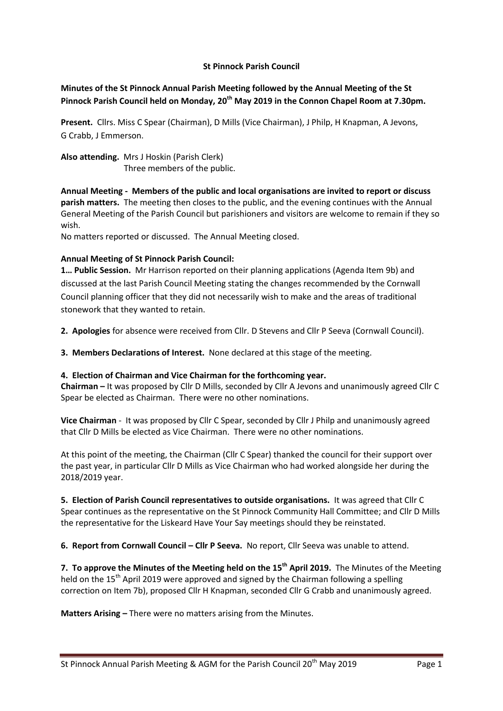### **St Pinnock Parish Council**

# **Minutes of the St Pinnock Annual Parish Meeting followed by the Annual Meeting of the St Pinnock Parish Council held on Monday, 20th May 2019 in the Connon Chapel Room at 7.30pm.**

**Present.** Cllrs. Miss C Spear (Chairman), D Mills (Vice Chairman), J Philp, H Knapman, A Jevons, G Crabb, J Emmerson.

**Also attending.** Mrs J Hoskin (Parish Clerk) Three members of the public.

**Annual Meeting - Members of the public and local organisations are invited to report or discuss parish matters.** The meeting then closes to the public, and the evening continues with the Annual General Meeting of the Parish Council but parishioners and visitors are welcome to remain if they so wish.

No matters reported or discussed. The Annual Meeting closed.

### **Annual Meeting of St Pinnock Parish Council:**

**1… Public Session.** Mr Harrison reported on their planning applications (Agenda Item 9b) and discussed at the last Parish Council Meeting stating the changes recommended by the Cornwall Council planning officer that they did not necessarily wish to make and the areas of traditional stonework that they wanted to retain.

**2. Apologies** for absence were received from Cllr. D Stevens and Cllr P Seeva (Cornwall Council).

**3. Members Declarations of Interest.** None declared at this stage of the meeting.

#### **4. Election of Chairman and Vice Chairman for the forthcoming year.**

**Chairman –** It was proposed by Cllr D Mills, seconded by Cllr A Jevons and unanimously agreed Cllr C Spear be elected as Chairman. There were no other nominations.

**Vice Chairman** - It was proposed by Cllr C Spear, seconded by Cllr J Philp and unanimously agreed that Cllr D Mills be elected as Vice Chairman. There were no other nominations.

At this point of the meeting, the Chairman (Cllr C Spear) thanked the council for their support over the past year, in particular Cllr D Mills as Vice Chairman who had worked alongside her during the 2018/2019 year.

**5. Election of Parish Council representatives to outside organisations.** It was agreed that Cllr C Spear continues as the representative on the St Pinnock Community Hall Committee; and Cllr D Mills the representative for the Liskeard Have Your Say meetings should they be reinstated.

**6. Report from Cornwall Council – Cllr P Seeva.** No report, Cllr Seeva was unable to attend.

**7. To approve the Minutes of the Meeting held on the 15th April 2019.** The Minutes of the Meeting held on the 15<sup>th</sup> April 2019 were approved and signed by the Chairman following a spelling correction on Item 7b), proposed Cllr H Knapman, seconded Cllr G Crabb and unanimously agreed.

**Matters Arising –** There were no matters arising from the Minutes.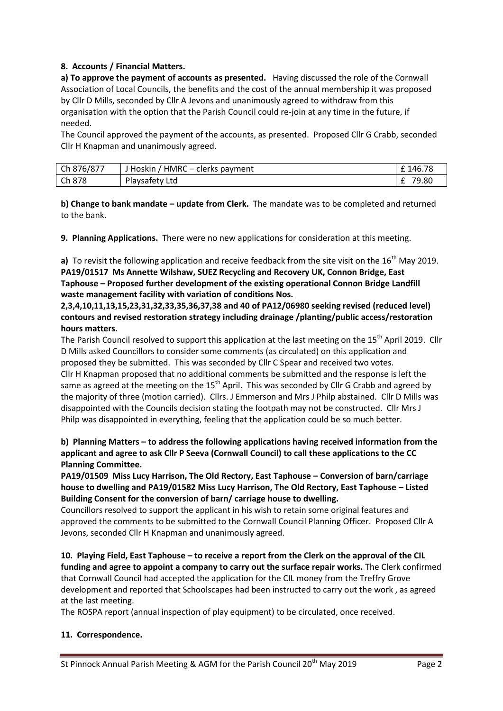## **8. Accounts / Financial Matters.**

**a) To approve the payment of accounts as presented.** Having discussed the role of the Cornwall Association of Local Councils, the benefits and the cost of the annual membership it was proposed by Cllr D Mills, seconded by Cllr A Jevons and unanimously agreed to withdraw from this organisation with the option that the Parish Council could re-join at any time in the future, if needed.

The Council approved the payment of the accounts, as presented. Proposed Cllr G Crabb, seconded Cllr H Knapman and unanimously agreed.

| Ch 876/877 | / HMRC – clerks payment<br>J Hoskin / | 146.78     |
|------------|---------------------------------------|------------|
| Ch 878     | Playsafety Ltd                        | 79.80<br>- |

**b) Change to bank mandate – update from Clerk.** The mandate was to be completed and returned to the bank.

**9. Planning Applications.** There were no new applications for consideration at this meeting.

**a)** To revisit the following application and receive feedback from the site visit on the 16<sup>th</sup> May 2019. **PA19/01517 Ms Annette Wilshaw, SUEZ Recycling and Recovery UK, Connon Bridge, East Taphouse – Proposed further development of the existing operational Connon Bridge Landfill waste management facility with variation of conditions Nos.** 

**2,3,4,10,11,13,15,23,31,32,33,35,36,37,38 and 40 of PA12/06980 seeking revised (reduced level) contours and revised restoration strategy including drainage /planting/public access/restoration hours matters.**

The Parish Council resolved to support this application at the last meeting on the 15<sup>th</sup> April 2019. Cllr D Mills asked Councillors to consider some comments (as circulated) on this application and proposed they be submitted. This was seconded by Cllr C Spear and received two votes. Cllr H Knapman proposed that no additional comments be submitted and the response is left the same as agreed at the meeting on the  $15<sup>th</sup>$  April. This was seconded by Cllr G Crabb and agreed by the majority of three (motion carried). Cllrs. J Emmerson and Mrs J Philp abstained. Cllr D Mills was disappointed with the Councils decision stating the footpath may not be constructed. Cllr Mrs J Philp was disappointed in everything, feeling that the application could be so much better.

**b) Planning Matters – to address the following applications having received information from the applicant and agree to ask Cllr P Seeva (Cornwall Council) to call these applications to the CC Planning Committee.**

**PA19/01509 Miss Lucy Harrison, The Old Rectory, East Taphouse – Conversion of barn/carriage house to dwelling and PA19/01582 Miss Lucy Harrison, The Old Rectory, East Taphouse – Listed Building Consent for the conversion of barn/ carriage house to dwelling.** 

Councillors resolved to support the applicant in his wish to retain some original features and approved the comments to be submitted to the Cornwall Council Planning Officer. Proposed Cllr A Jevons, seconded Cllr H Knapman and unanimously agreed.

**10. Playing Field, East Taphouse – to receive a report from the Clerk on the approval of the CIL funding and agree to appoint a company to carry out the surface repair works.** The Clerk confirmed that Cornwall Council had accepted the application for the CIL money from the Treffry Grove development and reported that Schoolscapes had been instructed to carry out the work , as agreed at the last meeting.

The ROSPA report (annual inspection of play equipment) to be circulated, once received.

## **11. Correspondence.**